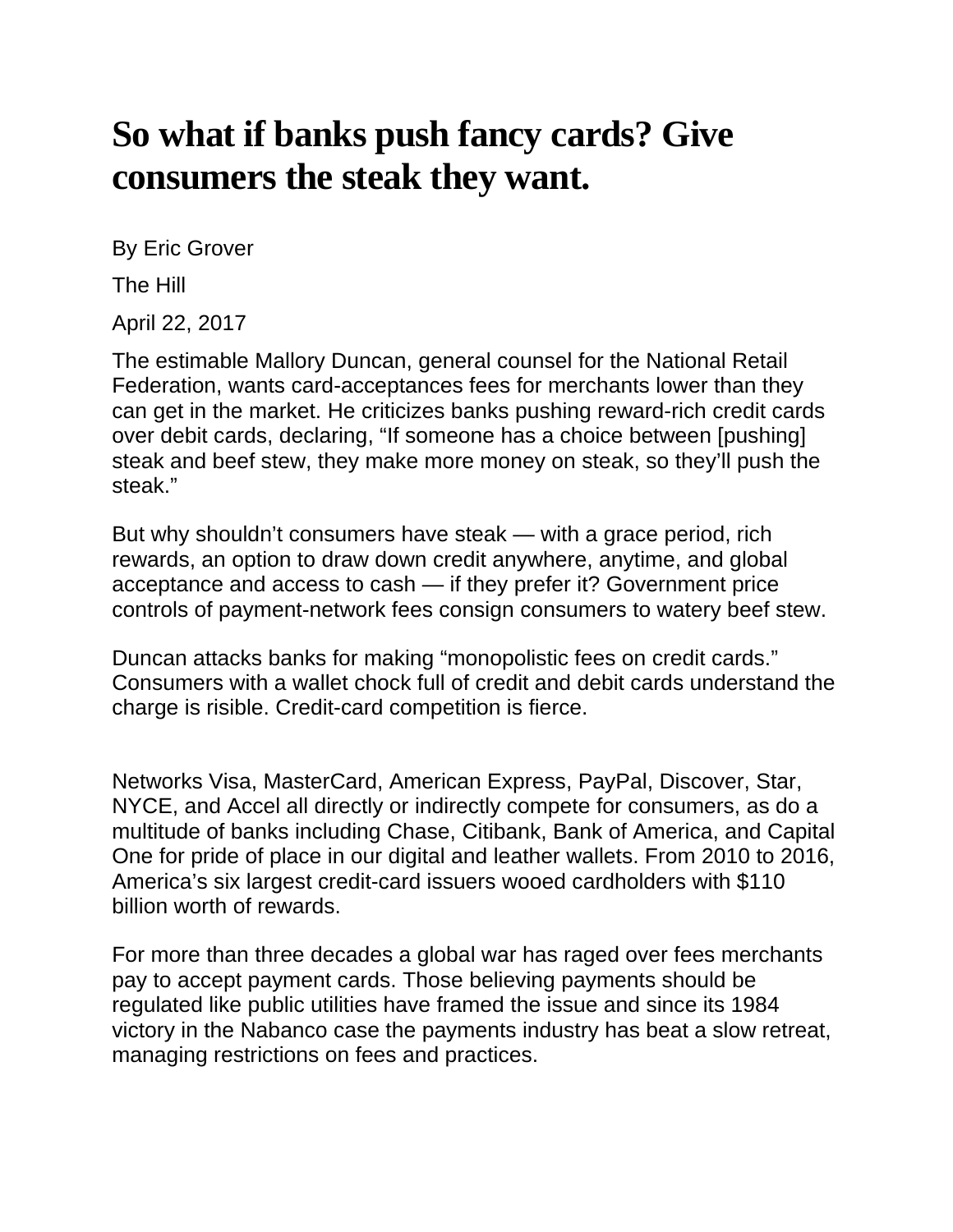## **So what if banks push fancy cards? Give consumers the steak they want.**

By Eric Grover

The Hill

April 22, 2017

The estimable Mallory Duncan, general counsel for the [National Retail](https://nrf.com/)  [Federation,](https://nrf.com/) wants card-acceptances fees for merchants lower than they can get in the market. He criticizes banks pushing reward-rich credit cards over debit cards, [declaring,](https://www.americanbanker.com/news/did-durbin-amendment-lead-to-unintended-credit-card-splurge) "If someone has a choice between [pushing] steak and beef stew, they make more money on steak, so they'll push the steak."

But why shouldn't consumers have steak — with a grace period, rich rewards, an option to draw down credit anywhere, anytime, and global acceptance and access to cash — if they prefer it? Government price controls of payment-network fees consign consumers to watery beef stew.

Duncan attacks banks for making ["monopolistic fees on credit cards.](https://www.americanbanker.com/news/did-durbin-amendment-lead-to-unintended-credit-card-splurge)" Consumers with a wallet chock full of credit and debit cards understand the charge is risible. Credit-card competition is fierce.

Networks Visa, MasterCard, American Express, PayPal, Discover, Star, NYCE, and Accel all directly or indirectly compete for consumers, as do a multitude of banks including Chase, Citibank, Bank of America, and Capital One for pride of place in our digital and leather wallets. From 2010 to 2016, America's six largest credit-card issuers wooed cardholders with [\\$110](https://www.americanbanker.com/news/did-durbin-amendment-lead-to-unintended-credit-card-splurge)  [billion worth of rewards.](https://www.americanbanker.com/news/did-durbin-amendment-lead-to-unintended-credit-card-splurge)

For more than three decades a global war has raged over fees merchants pay to accept payment cards. Those believing payments should be regulated like public utilities have framed the issue and since its 1984 victory in the [Nabanco case](https://www.courtlistener.com/opinion/1676672/national-bancard-corpnabanco-v-visa-usa/?q=nabanco&type=o&order_by=score+desc&stat_Precedential=on) the payments industry has beat a slow retreat, managing restrictions on fees and practices.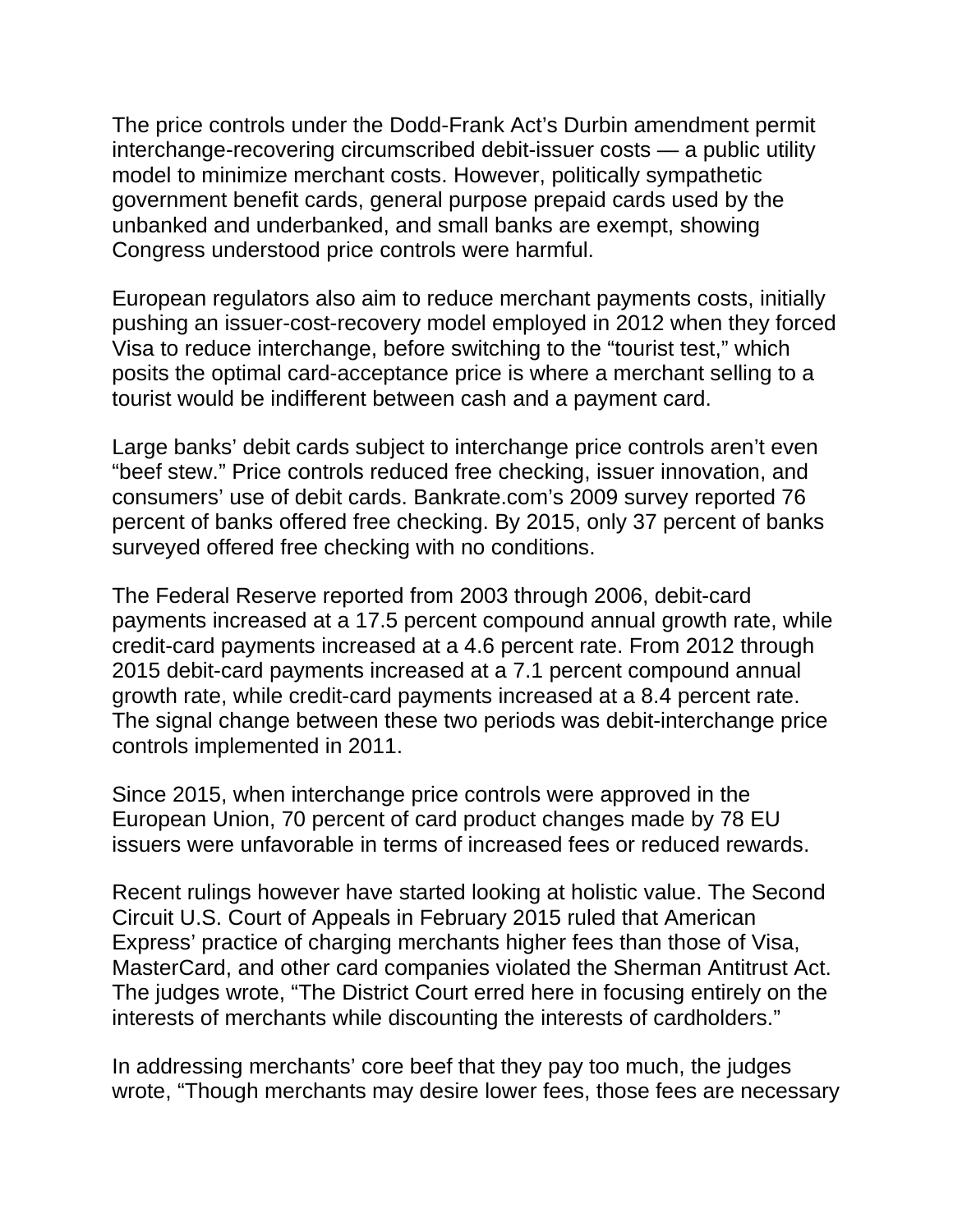The price controls under the Dodd-Frank Act's Durbin amendment permit interchange-recovering circumscribed debit-issuer costs — a public utility model to minimize merchant costs. However, politically sympathetic government benefit cards, general purpose prepaid cards used by the unbanked and underbanked, and small banks are exempt, showing Congress understood price controls were harmful.

European regulators also aim to reduce merchant payments costs, initially pushing an issuer-cost-recovery model employed in 2012 when they [forced](http://eur-lex.europa.eu/LexUriServ/LexUriServ.do?uri=CELEX:32002D0914:EN:HTML)  [Visa to reduce interchange,](http://eur-lex.europa.eu/LexUriServ/LexUriServ.do?uri=CELEX:32002D0914:EN:HTML) before switching to the "tourist test," which posits the optimal card-acceptance price is where a merchant selling to a tourist would be indifferent between cash and a payment card.

Large banks' debit cards subject to interchange price controls aren't even "beef stew." Price controls reduced free checking, issuer innovation, and consumers' use of debit cards. Bankrate.com's 2009 survey reported [76](http://www.bankrate.com/banking/checking/smart-banking-free-checking-not-always-free/)  [percent](http://www.bankrate.com/banking/checking/smart-banking-free-checking-not-always-free/) of banks offered free checking. By 2015, only [37 percent](http://www.bankrate.com/banking/checking/another-record-setting-year-for-checking-account-fees/#slide=2) of banks surveyed offered free checking with no conditions.

The Federal Reserve reported from 2003 through 2006, debit-card payments increased at a [17.5 percent](https://frbservices.org/files/communications/pdf/research/2007_payments_study.pdf) compound annual growth rate, while credit-card payments increased at a [4.6 percent](https://frbservices.org/files/communications/pdf/research/2007_payments_study.pdf) rate. From 2012 through 2015 debit-card payments increased at a [7.1 percent](https://www.federalreserve.gov/paymentsystems/files/2016-payments-study-20161222.pdf) compound annual growth rate, while credit-card payments increased at a [8.4 percent](https://www.federalreserve.gov/paymentsystems/files/2016-payments-study-20161222.pdf) rate. The signal change between these two periods was debit-interchange price controls implemented in 2011.

Since 2015, when interchange price controls were approved in the European Union, [70 percent](http://www.firstannapolis.com/wp-content/uploads/2017/03/March-2017-Navigator_by-First-Annapolis-Consulting_FINAL.pdf) of card product changes made by 78 EU issuers were unfavorable in terms of increased fees or reduced rewards.

Recent rulings however have started looking at holistic value. The Second Circuit U.S. Court of Appeals in February 2015 [ruled that American](http://law.justia.com/cases/federal/appellate-courts/ca2/15-1672/15-1672-2016-09-26.html)  Express' [practice of charging merchants](http://law.justia.com/cases/federal/appellate-courts/ca2/15-1672/15-1672-2016-09-26.html) higher fees than those of Visa, MasterCard, and other card companies violated the Sherman Antitrust Act. The judges wrote, "The District Court erred here in focusing entirely on the interests of merchants while discounting the interests of cardholders."

In addressing merchants' core beef that they pay too much, the judges wrote, "Though merchants may desire lower fees, those fees are necessary